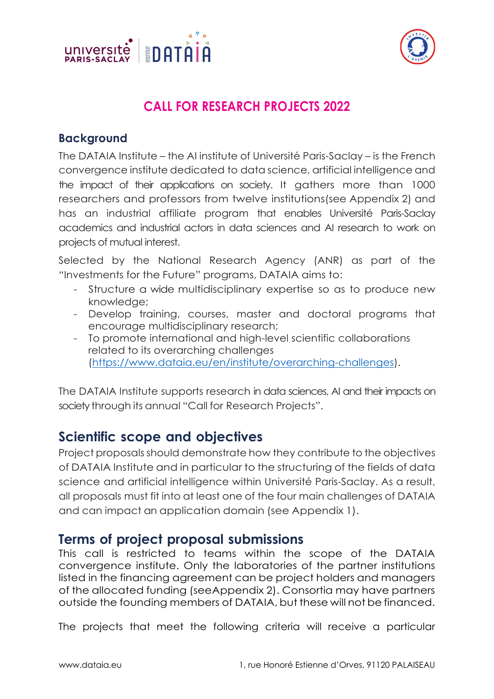



# **CALL FOR RESEARCH PROJECTS 2022**

#### **Background**

The DATAIA Institute – the AI institute of Université Paris-Saclay – is the French convergence institute dedicated to data science, artificial intelligence and the impact of their applications on society. It gathers more than 1000 researchers and professors from twelve institutions(see Appendix 2) and has an industrial affiliate program that enables Université Paris-Saclay academics and industrial actors in data sciences and AI research to work on projects of mutual interest.

Selected by the National Research Agency (ANR) as part of the "Investments for the Future" programs, DATAIA aims to:

- Structure a wide multidisciplinary expertise so as to produce new knowledge;
- Develop training, courses, master and doctoral programs that encourage multidisciplinary research;
- To promote international and high-level scientific collaborations related to its overarching challenges (https://www.dataia.eu/en/institute/overarching-challenges).

The DATAIA Institute supports research in data sciences, AI and their impacts on society through its annual "Call for Research Projects".

### **Scientific scope and objectives**

Project proposals should demonstrate how they contribute to the objectives of DATAIA Institute and in particular to the structuring of the fields of data science and artificial intelligence within Université Paris-Saclay. As a result, all proposals must fit into at least one of the four main challenges of DATAIA and can impact an application domain (see Appendix 1).

### **Terms of project proposal submissions**

This call is restricted to teams within the scope of the DATAIA convergence institute. Only the laboratories of the partner institutions listed in the financing agreement can be project holders and managers of the allocated funding (seeAppendix 2). Consortia may have partners outside the founding members of DATAIA, but these will not be financed.

The projects that meet the following criteria will receive a particular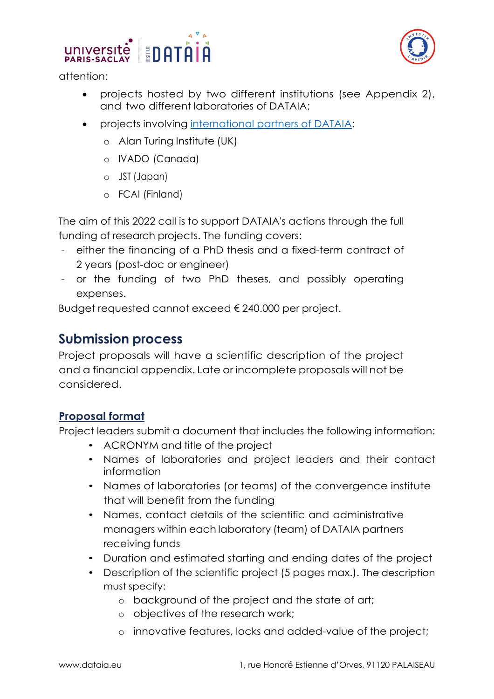

attention:

- projects hosted by two different institutions (see Appendix 2), and two different laboratories of DATAIA;
- projects involving international partners of DATAIA:
	- o Alan Turing Institute (UK)
	- o IVADO (Canada)
	- o JST (Japan)
	- o FCAI (Finland)

The aim of this 2022 call is to support DATAIA's actions through the full funding of research projects. The funding covers:

- either the financing of a PhD thesis and a fixed-term contract of 2 years (post-doc or engineer)
- or the funding of two PhD theses, and possibly operating expenses.

Budget requested cannot exceed € 240.000 per project.

### **Submission process**

Project proposals will have a scientific description of the project and a financial appendix. Late or incomplete proposals will not be considered.

#### **Proposal format**

Project leaders submit a document that includes the following information:

- ACRONYM and title of the project
- Names of laboratories and project leaders and their contact information
- Names of laboratories (or teams) of the convergence institute that will benefit from the funding
- Names, contact details of the scientific and administrative managers within each laboratory (team) of DATAIA partners receiving funds
- Duration and estimated starting and ending dates of the project
- Description of the scientific project (5 pages max.). The description must specify:
	- o background of the project and the state of art;
	- o objectives of the research work;
	- o innovative features, locks and added-value of the project;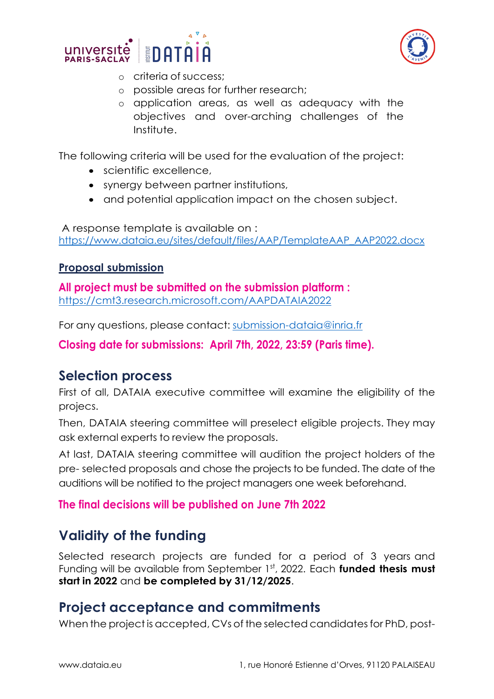



- o criteria of success;
- o possible areas for further research;
- o application areas, as well as adequacy with the objectives and over-arching challenges of the Institute.

The following criteria will be used for the evaluation of the project:

- scientific excellence
- synergy between partner institutions,
- and potential application impact on the chosen subject.

A response template is available on : https://www.dataia.eu/sites/default/files/AAP/TemplateAAP\_AAP2022.docx

#### **Proposal submission**

**All project must be submitted on the submission platform :** https://cmt3.research.microsoft.com/AAPDATAIA2022

For any questions, please contact: submission-dataia@inria.fr

**Closing date for submissions: April 7th, 2022, 23:59 (Paris time).** 

## **Selection process**

First of all, DATAIA executive committee will examine the eligibility of the projecs.

Then, DATAIA steering committee will preselect eligible projects. They may ask external experts to review the proposals.

At last, DATAIA steering committee will audition the project holders of the pre- selected proposals and chose the projects to be funded. The date of the auditions will be notified to the project managers one week beforehand.

#### **The final decisions will be published on June 7th 2022**

# **Validity of the funding**

Selected research projects are funded for a period of 3 years and Funding will be available from September 1st, 2022. Each **funded thesis must start in 2022** and **be completed by 31/12/2025**.

## **Project acceptance and commitments**

When the project is accepted, CVs of the selected candidates for PhD, post-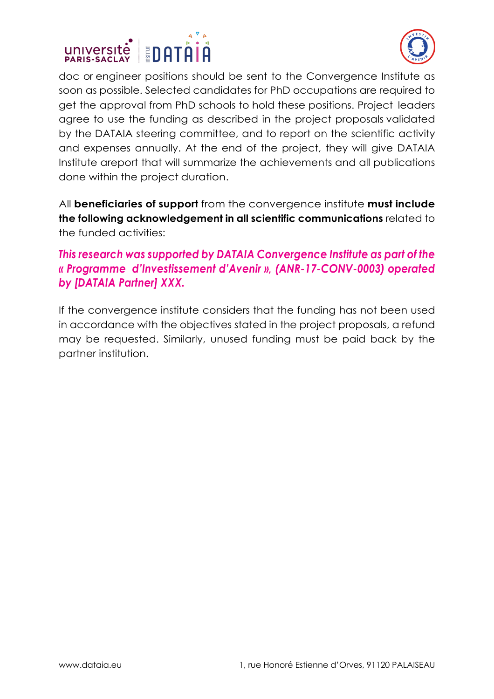



doc or engineer positions should be sent to the Convergence Institute as soon as possible. Selected candidates for PhD occupations are required to get the approval from PhD schools to hold these positions. Project leaders agree to use the funding as described in the project proposals validated by the DATAIA steering committee, and to report on the scientific activity and expenses annually. At the end of the project, they will give DATAIA Institute areport that will summarize the achievements and all publications done within the project duration.

All **beneficiaries of support** from the convergence institute **must include the following acknowledgement in all scientific communications** related to the funded activities:

#### *This research was supported by DATAIA Convergence Institute as part of the « Programme d'Investissement d'Avenir », (ANR-17-CONV-0003) operated by [DATAIA Partner] XXX.*

If the convergence institute considers that the funding has not been used in accordance with the objectives stated in the project proposals, a refund may be requested. Similarly, unused funding must be paid back by the partner institution.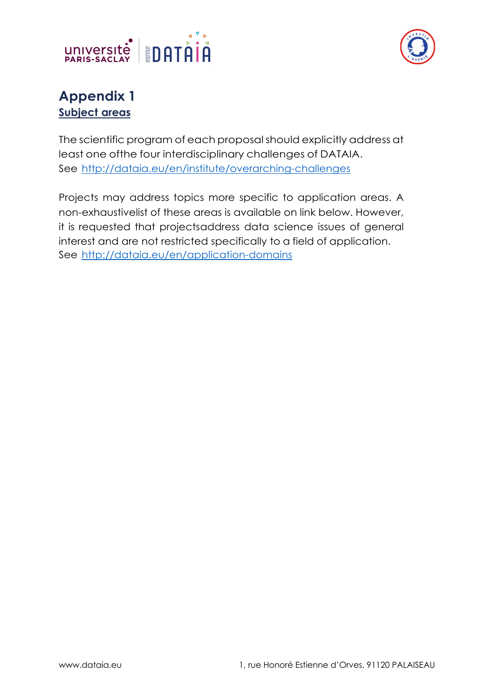



## **Appendix 1 Subject areas**

The scientific program of each proposalshould explicitly address at least one ofthe four interdisciplinary challenges of DATAIA. See http://dataia.eu/en/institute/overarching-challenges

Projects may address topics more specific to application areas. A non-exhaustivelist of these areas is available on link below. However, it is requested that projectsaddress data science issues of general interest and are not restricted specifically to a field of application. See http://dataia.eu/en/application-domains